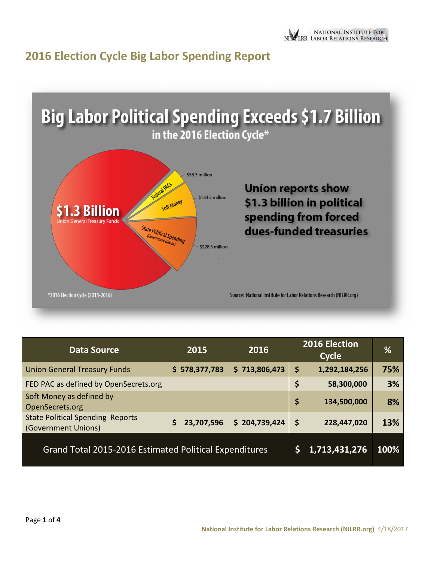



| <b>Data Source</b>                                             | 2015          | 2016          | 2016 Election<br><b>Cycle</b> | %    |
|----------------------------------------------------------------|---------------|---------------|-------------------------------|------|
| <b>Union General Treasury Funds</b>                            | \$578,377,783 | \$713,806,473 | \$<br>1,292,184,256           | 75%  |
| FED PAC as defined by OpenSecrets.org                          |               |               | \$<br>58,300,000              | 3%   |
| Soft Money as defined by<br>OpenSecrets.org                    |               |               | \$<br>134,500,000             | 8%   |
| <b>State Political Spending Reports</b><br>(Government Unions) | 23,707,596    | \$204,739,424 | \$<br>228,447,020             | 13%  |
| Grand Total 2015-2016 Estimated Political Expenditures         |               |               | 1,713,431,276                 | 100% |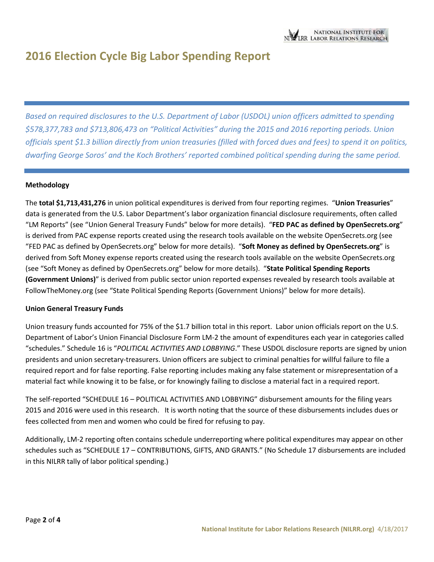*Based on required disclosures to the U.S. Department of Labor (USDOL) union officers admitted to spending \$578,377,783 and \$713,806,473 on "Political Activities" during the 2015 and 2016 reporting periods. Union officials spent \$1.3 billion directly from union treasuries (filled with forced dues and fees) to spend it on politics, dwarfing George Soros' and the Koch Brothers' reported combined political spending during the same period.* 

#### **Methodology**

The **total \$1,713,431,276** in union political expenditures is derived from four reporting regimes. "**Union Treasuries**" data is generated from the U.S. Labor Department's labor organization financial disclosure requirements, often called "LM Reports" (see "Union General Treasury Funds" below for more details). "**FED PAC as defined by OpenSecrets.org**" is derived from PAC expense reports created using the research tools available on the website OpenSecrets.org (see "FED PAC as defined by OpenSecrets.org" below for more details). "**Soft Money as defined by OpenSecrets.org**" is derived from Soft Money expense reports created using the research tools available on the website OpenSecrets.org (see "Soft Money as defined by OpenSecrets.org" below for more details). "**State Political Spending Reports (Government Unions)**" is derived from public sector union reported expenses revealed by research tools available at FollowTheMoney.org (see "State Political Spending Reports (Government Unions)" below for more details).

#### **Union General Treasury Funds**

Union treasury funds accounted for 75% of the \$1.7 billion total in this report. Labor union officials report on the U.S. Department of Labor's Union Financial Disclosure Form LM-2 the amount of expenditures each year in categories called "schedules." Schedule 16 is "*POLITICAL ACTIVITIES AND LOBBYING*." These USDOL disclosure reports are signed by union presidents and union secretary-treasurers. Union officers are subject to criminal penalties for willful failure to file a required report and for false reporting. False reporting includes making any false statement or misrepresentation of a material fact while knowing it to be false, or for knowingly failing to disclose a material fact in a required report.

The self-reported "SCHEDULE 16 – POLITICAL ACTIVITIES AND LOBBYING" disbursement amounts for the filing years 2015 and 2016 were used in this research. It is worth noting that the source of these disbursements includes dues or fees collected from men and women who could be fired for refusing to pay.

Additionally, LM-2 reporting often contains schedule underreporting where political expenditures may appear on other schedules such as "SCHEDULE 17 – CONTRIBUTIONS, GIFTS, AND GRANTS." (No Schedule 17 disbursements are included in this NILRR tally of labor political spending.)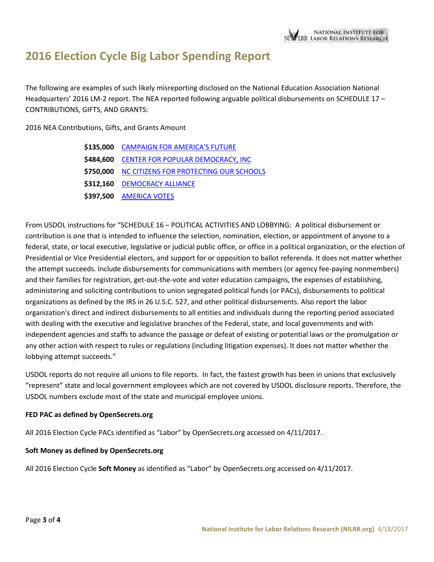The following are examples of such likely misreporting disclosed on the National Education Association National Headquarters' 2016 LM-2 report. The NEA reported following arguable political disbursements on SCHEDULE 17 – CONTRIBUTIONS, GIFTS, AND GRANTS:

2016 NEA Contributions, Gifts, and Grants Amount

| \$135,000 CAMPAIGN FOR AMERICA'S FUTURE          |
|--------------------------------------------------|
| \$484,600 CENTER FOR POPULAR DEMOCRACY, INC      |
| \$750,000 NC CITIZENS FOR PROTECTING OUR SCHOOLS |
| \$312,160 DEMOCRACY ALLIANCE                     |
| \$397,500 AMERICA VOTES                          |

From USDOL instructions for "SCHEDULE 16 – POLITICAL ACTIVITIES AND LOBBYING: A political disbursement or contribution is one that is intended to influence the selection, nomination, election, or appointment of anyone to a federal, state, or local executive, legislative or judicial public office, or office in a political organization, or the election of Presidential or Vice Presidential electors, and support for or opposition to ballot referenda. It does not matter whether the attempt succeeds. Include disbursements for communications with members (or agency fee-paying nonmembers) and their families for registration, get-out-the-vote and voter education campaigns, the expenses of establishing, administering and soliciting contributions to union segregated political funds (or PACs), disbursements to political organizations as defined by the IRS in 26 U.S.C. 527, and other political disbursements. Also report the labor organization's direct and indirect disbursements to all entities and individuals during the reporting period associated with dealing with the executive and legislative branches of the Federal, state, and local governments and with independent agencies and staffs to advance the passage or defeat of existing or potential laws or the promulgation or any other action with respect to rules or regulations (including litigation expenses). It does not matter whether the lobbying attempt succeeds."

USDOL reports do not require all unions to file reports. In fact, the fastest growth has been in unions that exclusively "represent" state and local government employees which are not covered by USDOL disclosure reports. Therefore, the USDOL numbers exclude most of the state and municipal employee unions.

### **FED PAC as defined by OpenSecrets.org**

All 2016 Election Cycle PACs identified as "Labor" by OpenSecrets.org accessed on 4/11/2017.

#### **Soft Money as defined by OpenSecrets.org**

All 2016 Election Cycle **Soft Money** as identified as "Labor" by OpenSecrets.org accessed on 4/11/2017.